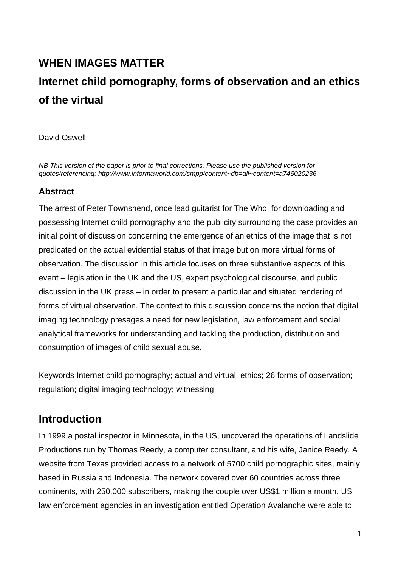## **WHEN IMAGES MATTER**

# **Internet child pornography, forms of observation and an ethics of the virtual**

David Oswell

*NB This version of the paper is prior to final corrections. Please use the published version for quotes/referencing: http://www.informaworld.com/smpp/content~db=all~content=a746020236* 

### **Abstract**

The arrest of Peter Townshend, once lead guitarist for The Who, for downloading and possessing Internet child pornography and the publicity surrounding the case provides an initial point of discussion concerning the emergence of an ethics of the image that is not predicated on the actual evidential status of that image but on more virtual forms of observation. The discussion in this article focuses on three substantive aspects of this event – legislation in the UK and the US, expert psychological discourse, and public discussion in the UK press – in order to present a particular and situated rendering of forms of virtual observation. The context to this discussion concerns the notion that digital imaging technology presages a need for new legislation, law enforcement and social analytical frameworks for understanding and tackling the production, distribution and consumption of images of child sexual abuse.

Keywords Internet child pornography; actual and virtual; ethics; 26 forms of observation; regulation; digital imaging technology; witnessing

### **Introduction**

In 1999 a postal inspector in Minnesota, in the US, uncovered the operations of Landslide Productions run by Thomas Reedy, a computer consultant, and his wife, Janice Reedy. A website from Texas provided access to a network of 5700 child pornographic sites, mainly based in Russia and Indonesia. The network covered over 60 countries across three continents, with 250,000 subscribers, making the couple over US\$1 million a month. US law enforcement agencies in an investigation entitled Operation Avalanche were able to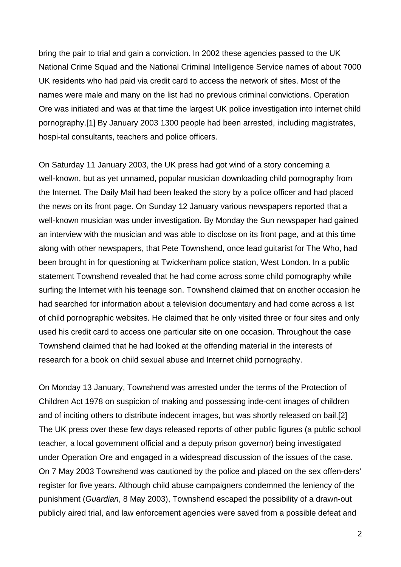bring the pair to trial and gain a conviction. In 2002 these agencies passed to the UK National Crime Squad and the National Criminal Intelligence Service names of about 7000 UK residents who had paid via credit card to access the network of sites. Most of the names were male and many on the list had no previous criminal convictions. Operation Ore was initiated and was at that time the largest UK police investigation into internet child pornography.[1] By January 2003 1300 people had been arrested, including magistrates, hospi-tal consultants, teachers and police officers.

On Saturday 11 January 2003, the UK press had got wind of a story concerning a well-known, but as yet unnamed, popular musician downloading child pornography from the Internet. The Daily Mail had been leaked the story by a police officer and had placed the news on its front page. On Sunday 12 January various newspapers reported that a well-known musician was under investigation. By Monday the Sun newspaper had gained an interview with the musician and was able to disclose on its front page, and at this time along with other newspapers, that Pete Townshend, once lead guitarist for The Who, had been brought in for questioning at Twickenham police station, West London. In a public statement Townshend revealed that he had come across some child pornography while surfing the Internet with his teenage son. Townshend claimed that on another occasion he had searched for information about a television documentary and had come across a list of child pornographic websites. He claimed that he only visited three or four sites and only used his credit card to access one particular site on one occasion. Throughout the case Townshend claimed that he had looked at the offending material in the interests of research for a book on child sexual abuse and Internet child pornography.

On Monday 13 January, Townshend was arrested under the terms of the Protection of Children Act 1978 on suspicion of making and possessing inde-cent images of children and of inciting others to distribute indecent images, but was shortly released on bail.[2] The UK press over these few days released reports of other public figures (a public school teacher, a local government official and a deputy prison governor) being investigated under Operation Ore and engaged in a widespread discussion of the issues of the case. On 7 May 2003 Townshend was cautioned by the police and placed on the sex offen-ders' register for five years. Although child abuse campaigners condemned the leniency of the punishment (*Guardian*, 8 May 2003), Townshend escaped the possibility of a drawn-out publicly aired trial, and law enforcement agencies were saved from a possible defeat and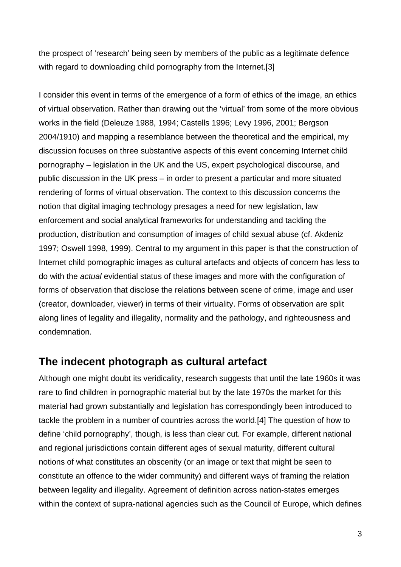the prospect of 'research' being seen by members of the public as a legitimate defence with regard to downloading child pornography from the Internet.[3]

I consider this event in terms of the emergence of a form of ethics of the image, an ethics of virtual observation. Rather than drawing out the 'virtual' from some of the more obvious works in the field (Deleuze 1988, 1994; Castells 1996; Levy 1996, 2001; Bergson 2004/1910) and mapping a resemblance between the theoretical and the empirical, my discussion focuses on three substantive aspects of this event concerning Internet child pornography – legislation in the UK and the US, expert psychological discourse, and public discussion in the UK press – in order to present a particular and more situated rendering of forms of virtual observation. The context to this discussion concerns the notion that digital imaging technology presages a need for new legislation, law enforcement and social analytical frameworks for understanding and tackling the production, distribution and consumption of images of child sexual abuse (cf. Akdeniz 1997; Oswell 1998, 1999). Central to my argument in this paper is that the construction of Internet child pornographic images as cultural artefacts and objects of concern has less to do with the *actual* evidential status of these images and more with the configuration of forms of observation that disclose the relations between scene of crime, image and user (creator, downloader, viewer) in terms of their virtuality. Forms of observation are split along lines of legality and illegality, normality and the pathology, and righteousness and condemnation.

### **The indecent photograph as cultural artefact**

Although one might doubt its veridicality, research suggests that until the late 1960s it was rare to find children in pornographic material but by the late 1970s the market for this material had grown substantially and legislation has correspondingly been introduced to tackle the problem in a number of countries across the world.[4] The question of how to define 'child pornography', though, is less than clear cut. For example, different national and regional jurisdictions contain different ages of sexual maturity, different cultural notions of what constitutes an obscenity (or an image or text that might be seen to constitute an offence to the wider community) and different ways of framing the relation between legality and illegality. Agreement of definition across nation-states emerges within the context of supra-national agencies such as the Council of Europe, which defines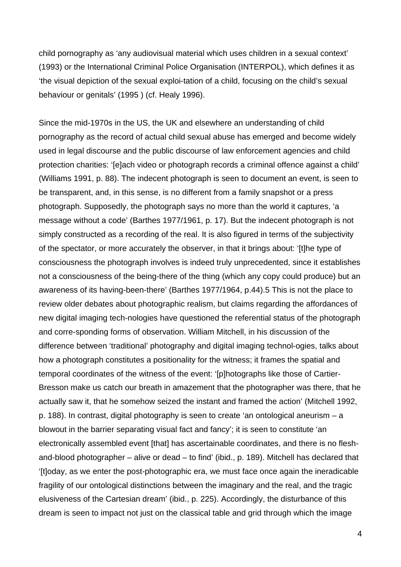child pornography as 'any audiovisual material which uses children in a sexual context' (1993) or the International Criminal Police Organisation (INTERPOL), which defines it as 'the visual depiction of the sexual exploi-tation of a child, focusing on the child's sexual behaviour or genitals' (1995 ) (cf. Healy 1996).

Since the mid-1970s in the US, the UK and elsewhere an understanding of child pornography as the record of actual child sexual abuse has emerged and become widely used in legal discourse and the public discourse of law enforcement agencies and child protection charities: '[e]ach video or photograph records a criminal offence against a child' (Williams 1991, p. 88). The indecent photograph is seen to document an event, is seen to be transparent, and, in this sense, is no different from a family snapshot or a press photograph. Supposedly, the photograph says no more than the world it captures, 'a message without a code' (Barthes 1977/1961, p. 17). But the indecent photograph is not simply constructed as a recording of the real. It is also figured in terms of the subjectivity of the spectator, or more accurately the observer, in that it brings about: '[t]he type of consciousness the photograph involves is indeed truly unprecedented, since it establishes not a consciousness of the being-there of the thing (which any copy could produce) but an awareness of its having-been-there' (Barthes 1977/1964, p.44).5 This is not the place to review older debates about photographic realism, but claims regarding the affordances of new digital imaging tech-nologies have questioned the referential status of the photograph and corre-sponding forms of observation. William Mitchell, in his discussion of the difference between 'traditional' photography and digital imaging technol-ogies, talks about how a photograph constitutes a positionality for the witness; it frames the spatial and temporal coordinates of the witness of the event: '[p]hotographs like those of Cartier-Bresson make us catch our breath in amazement that the photographer was there, that he actually saw it, that he somehow seized the instant and framed the action' (Mitchell 1992, p. 188). In contrast, digital photography is seen to create 'an ontological aneurism – a blowout in the barrier separating visual fact and fancy'; it is seen to constitute 'an electronically assembled event [that] has ascertainable coordinates, and there is no fleshand-blood photographer – alive or dead – to find' (ibid., p. 189). Mitchell has declared that '[t]oday, as we enter the post-photographic era, we must face once again the ineradicable fragility of our ontological distinctions between the imaginary and the real, and the tragic elusiveness of the Cartesian dream' (ibid., p. 225). Accordingly, the disturbance of this dream is seen to impact not just on the classical table and grid through which the image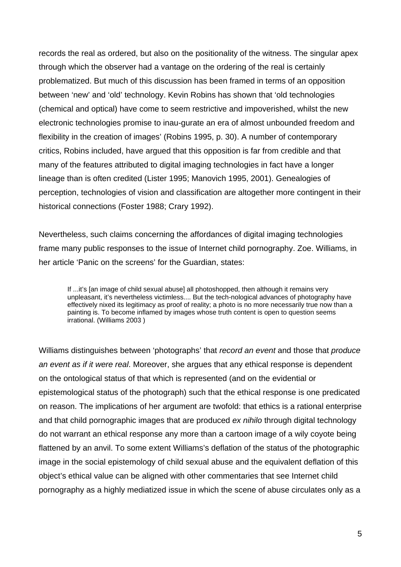records the real as ordered, but also on the positionality of the witness. The singular apex through which the observer had a vantage on the ordering of the real is certainly problematized. But much of this discussion has been framed in terms of an opposition between 'new' and 'old' technology. Kevin Robins has shown that 'old technologies (chemical and optical) have come to seem restrictive and impoverished, whilst the new electronic technologies promise to inau-gurate an era of almost unbounded freedom and flexibility in the creation of images' (Robins 1995, p. 30). A number of contemporary critics, Robins included, have argued that this opposition is far from credible and that many of the features attributed to digital imaging technologies in fact have a longer lineage than is often credited (Lister 1995; Manovich 1995, 2001). Genealogies of perception, technologies of vision and classification are altogether more contingent in their historical connections (Foster 1988; Crary 1992).

Nevertheless, such claims concerning the affordances of digital imaging technologies frame many public responses to the issue of Internet child pornography. Zoe. Williams, in her article 'Panic on the screens' for the Guardian, states:

If ...it's [an image of child sexual abuse] all photoshopped, then although it remains very unpleasant, it's nevertheless victimless.... But the tech-nological advances of photography have effectively nixed its legitimacy as proof of reality; a photo is no more necessarily true now than a painting is. To become inflamed by images whose truth content is open to question seems irrational. (Williams 2003 )

Williams distinguishes between 'photographs' that *record an event* and those that *produce an event as if it were real*. Moreover, she argues that any ethical response is dependent on the ontological status of that which is represented (and on the evidential or epistemological status of the photograph) such that the ethical response is one predicated on reason. The implications of her argument are twofold: that ethics is a rational enterprise and that child pornographic images that are produced *ex nihilo* through digital technology do not warrant an ethical response any more than a cartoon image of a wily coyote being flattened by an anvil. To some extent Williams's deflation of the status of the photographic image in the social epistemology of child sexual abuse and the equivalent deflation of this object's ethical value can be aligned with other commentaries that see Internet child pornography as a highly mediatized issue in which the scene of abuse circulates only as a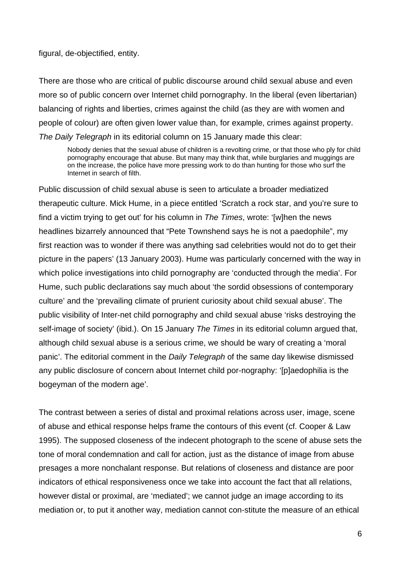figural, de-objectified, entity.

There are those who are critical of public discourse around child sexual abuse and even more so of public concern over Internet child pornography. In the liberal (even libertarian) balancing of rights and liberties, crimes against the child (as they are with women and people of colour) are often given lower value than, for example, crimes against property. *The Daily Telegraph* in its editorial column on 15 January made this clear:

Nobody denies that the sexual abuse of children is a revolting crime, or that those who ply for child pornography encourage that abuse. But many may think that, while burglaries and muggings are on the increase, the police have more pressing work to do than hunting for those who surf the Internet in search of filth.

Public discussion of child sexual abuse is seen to articulate a broader mediatized therapeutic culture. Mick Hume, in a piece entitled 'Scratch a rock star, and you're sure to find a victim trying to get out' for his column in *The Times*, wrote: '[w]hen the news headlines bizarrely announced that "Pete Townshend says he is not a paedophile", my first reaction was to wonder if there was anything sad celebrities would not do to get their picture in the papers' (13 January 2003). Hume was particularly concerned with the way in which police investigations into child pornography are 'conducted through the media'. For Hume, such public declarations say much about 'the sordid obsessions of contemporary culture' and the 'prevailing climate of prurient curiosity about child sexual abuse'. The public visibility of Inter-net child pornography and child sexual abuse 'risks destroying the self-image of society' (ibid.). On 15 January *The Times* in its editorial column argued that, although child sexual abuse is a serious crime, we should be wary of creating a 'moral panic'. The editorial comment in the *Daily Telegraph* of the same day likewise dismissed any public disclosure of concern about Internet child por-nography: '[p]aedophilia is the bogeyman of the modern age'.

The contrast between a series of distal and proximal relations across user, image, scene of abuse and ethical response helps frame the contours of this event (cf. Cooper & Law 1995). The supposed closeness of the indecent photograph to the scene of abuse sets the tone of moral condemnation and call for action, just as the distance of image from abuse presages a more nonchalant response. But relations of closeness and distance are poor indicators of ethical responsiveness once we take into account the fact that all relations, however distal or proximal, are 'mediated'; we cannot judge an image according to its mediation or, to put it another way, mediation cannot con-stitute the measure of an ethical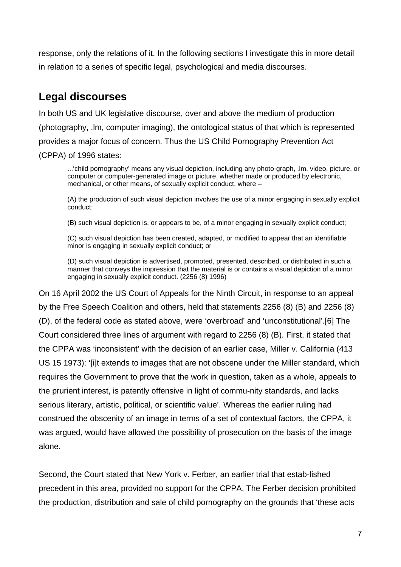response, only the relations of it. In the following sections I investigate this in more detail in relation to a series of specific legal, psychological and media discourses.

## **Legal discourses**

In both US and UK legislative discourse, over and above the medium of production (photography, .lm, computer imaging), the ontological status of that which is represented provides a major focus of concern. Thus the US Child Pornography Prevention Act (CPPA) of 1996 states:

...'child pornography' means any visual depiction, including any photo-graph, .lm, video, picture, or computer or computer-generated image or picture, whether made or produced by electronic, mechanical, or other means, of sexually explicit conduct, where –

(A) the production of such visual depiction involves the use of a minor engaging in sexually explicit conduct;

(B) such visual depiction is, or appears to be, of a minor engaging in sexually explicit conduct;

(C) such visual depiction has been created, adapted, or modified to appear that an identifiable minor is engaging in sexually explicit conduct; or

(D) such visual depiction is advertised, promoted, presented, described, or distributed in such a manner that conveys the impression that the material is or contains a visual depiction of a minor engaging in sexually explicit conduct. (2256 (8) 1996)

On 16 April 2002 the US Court of Appeals for the Ninth Circuit, in response to an appeal by the Free Speech Coalition and others, held that statements 2256 (8) (B) and 2256 (8) (D), of the federal code as stated above, were 'overbroad' and 'unconstitutional'.[6] The Court considered three lines of argument with regard to 2256 (8) (B). First, it stated that the CPPA was 'inconsistent' with the decision of an earlier case, Miller v. California (413 US 15 1973): '[i]t extends to images that are not obscene under the Miller standard, which requires the Government to prove that the work in question, taken as a whole, appeals to the prurient interest, is patently offensive in light of commu-nity standards, and lacks serious literary, artistic, political, or scientific value'. Whereas the earlier ruling had construed the obscenity of an image in terms of a set of contextual factors, the CPPA, it was argued, would have allowed the possibility of prosecution on the basis of the image alone.

Second, the Court stated that New York v. Ferber, an earlier trial that estab-lished precedent in this area, provided no support for the CPPA. The Ferber decision prohibited the production, distribution and sale of child pornography on the grounds that 'these acts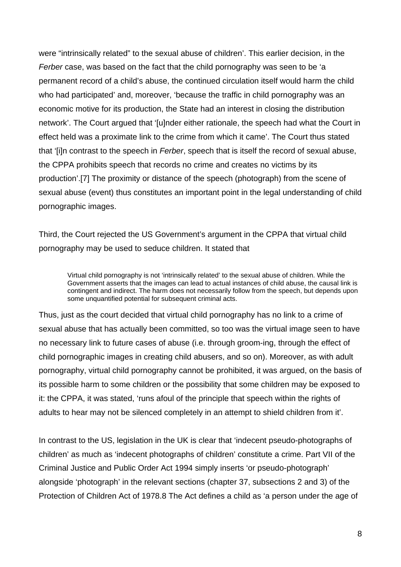were "intrinsically related" to the sexual abuse of children'. This earlier decision, in the *Ferber* case, was based on the fact that the child pornography was seen to be 'a permanent record of a child's abuse, the continued circulation itself would harm the child who had participated' and, moreover, 'because the traffic in child pornography was an economic motive for its production, the State had an interest in closing the distribution network'. The Court argued that '[u]nder either rationale, the speech had what the Court in effect held was a proximate link to the crime from which it came'. The Court thus stated that '[i]n contrast to the speech in *Ferber*, speech that is itself the record of sexual abuse, the CPPA prohibits speech that records no crime and creates no victims by its production'.[7] The proximity or distance of the speech (photograph) from the scene of sexual abuse (event) thus constitutes an important point in the legal understanding of child pornographic images.

Third, the Court rejected the US Government's argument in the CPPA that virtual child pornography may be used to seduce children. It stated that

Virtual child pornography is not 'intrinsically related' to the sexual abuse of children. While the Government asserts that the images can lead to actual instances of child abuse, the causal link is contingent and indirect. The harm does not necessarily follow from the speech, but depends upon some unquantified potential for subsequent criminal acts.

Thus, just as the court decided that virtual child pornography has no link to a crime of sexual abuse that has actually been committed, so too was the virtual image seen to have no necessary link to future cases of abuse (i.e. through groom-ing, through the effect of child pornographic images in creating child abusers, and so on). Moreover, as with adult pornography, virtual child pornography cannot be prohibited, it was argued, on the basis of its possible harm to some children or the possibility that some children may be exposed to it: the CPPA, it was stated, 'runs afoul of the principle that speech within the rights of adults to hear may not be silenced completely in an attempt to shield children from it'.

In contrast to the US, legislation in the UK is clear that 'indecent pseudo-photographs of children' as much as 'indecent photographs of children' constitute a crime. Part VII of the Criminal Justice and Public Order Act 1994 simply inserts 'or pseudo-photograph' alongside 'photograph' in the relevant sections (chapter 37, subsections 2 and 3) of the Protection of Children Act of 1978.8 The Act defines a child as 'a person under the age of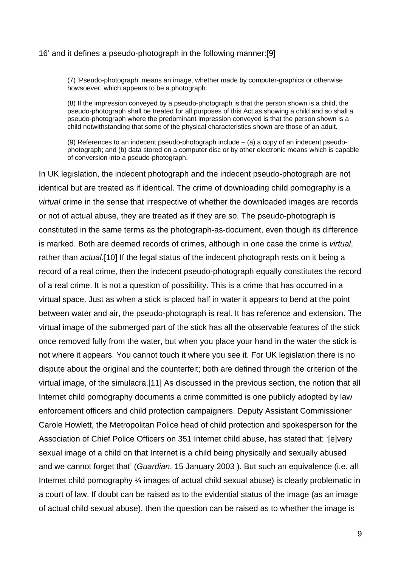#### 16' and it defines a pseudo-photograph in the following manner:[9]

(7) 'Pseudo-photograph' means an image, whether made by computer-graphics or otherwise howsoever, which appears to be a photograph.

(8) If the impression conveyed by a pseudo-photograph is that the person shown is a child, the pseudo-photograph shall be treated for all purposes of this Act as showing a child and so shall a pseudo-photograph where the predominant impression conveyed is that the person shown is a child notwithstanding that some of the physical characteristics shown are those of an adult.

(9) References to an indecent pseudo-photograph include – (a) a copy of an indecent pseudophotograph; and (b) data stored on a computer disc or by other electronic means which is capable of conversion into a pseudo-photograph.

In UK legislation, the indecent photograph and the indecent pseudo-photograph are not identical but are treated as if identical. The crime of downloading child pornography is a *virtual* crime in the sense that irrespective of whether the downloaded images are records or not of actual abuse, they are treated as if they are so. The pseudo-photograph is constituted in the same terms as the photograph-as-document, even though its difference is marked. Both are deemed records of crimes, although in one case the crime is *virtual*, rather than *actual*.[10] If the legal status of the indecent photograph rests on it being a record of a real crime, then the indecent pseudo-photograph equally constitutes the record of a real crime. It is not a question of possibility. This is a crime that has occurred in a virtual space. Just as when a stick is placed half in water it appears to bend at the point between water and air, the pseudo-photograph is real. It has reference and extension. The virtual image of the submerged part of the stick has all the observable features of the stick once removed fully from the water, but when you place your hand in the water the stick is not where it appears. You cannot touch it where you see it. For UK legislation there is no dispute about the original and the counterfeit; both are defined through the criterion of the virtual image, of the simulacra.[11] As discussed in the previous section, the notion that all Internet child pornography documents a crime committed is one publicly adopted by law enforcement officers and child protection campaigners. Deputy Assistant Commissioner Carole Howlett, the Metropolitan Police head of child protection and spokesperson for the Association of Chief Police Officers on 351 Internet child abuse, has stated that: '[e]very sexual image of a child on that Internet is a child being physically and sexually abused and we cannot forget that' (*Guardian*, 15 January 2003 ). But such an equivalence (i.e. all Internet child pornography  $\frac{1}{4}$  images of actual child sexual abuse) is clearly problematic in a court of law. If doubt can be raised as to the evidential status of the image (as an image of actual child sexual abuse), then the question can be raised as to whether the image is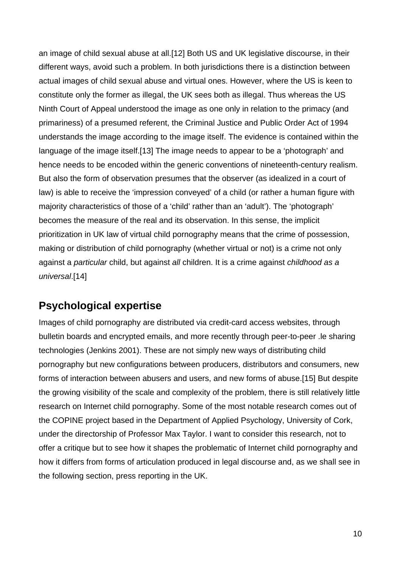an image of child sexual abuse at all.[12] Both US and UK legislative discourse, in their different ways, avoid such a problem. In both jurisdictions there is a distinction between actual images of child sexual abuse and virtual ones. However, where the US is keen to constitute only the former as illegal, the UK sees both as illegal. Thus whereas the US Ninth Court of Appeal understood the image as one only in relation to the primacy (and primariness) of a presumed referent, the Criminal Justice and Public Order Act of 1994 understands the image according to the image itself. The evidence is contained within the language of the image itself.[13] The image needs to appear to be a 'photograph' and hence needs to be encoded within the generic conventions of nineteenth-century realism. But also the form of observation presumes that the observer (as idealized in a court of law) is able to receive the 'impression conveyed' of a child (or rather a human figure with majority characteristics of those of a 'child' rather than an 'adult'). The 'photograph' becomes the measure of the real and its observation. In this sense, the implicit prioritization in UK law of virtual child pornography means that the crime of possession, making or distribution of child pornography (whether virtual or not) is a crime not only against a *particular* child, but against *all* children. It is a crime against *childhood as a universal*.[14]

### **Psychological expertise**

Images of child pornography are distributed via credit-card access websites, through bulletin boards and encrypted emails, and more recently through peer-to-peer .le sharing technologies (Jenkins 2001). These are not simply new ways of distributing child pornography but new configurations between producers, distributors and consumers, new forms of interaction between abusers and users, and new forms of abuse.[15] But despite the growing visibility of the scale and complexity of the problem, there is still relatively little research on Internet child pornography. Some of the most notable research comes out of the COPINE project based in the Department of Applied Psychology, University of Cork, under the directorship of Professor Max Taylor. I want to consider this research, not to offer a critique but to see how it shapes the problematic of Internet child pornography and how it differs from forms of articulation produced in legal discourse and, as we shall see in the following section, press reporting in the UK.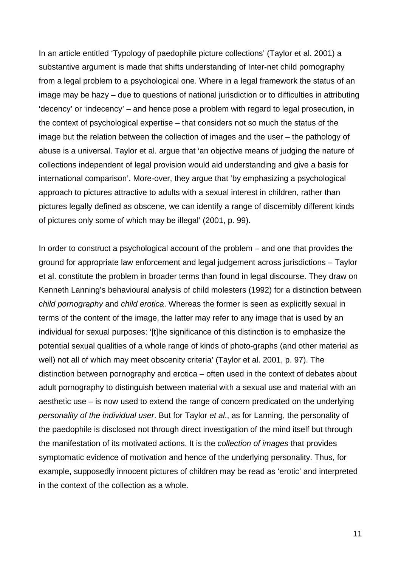In an article entitled 'Typology of paedophile picture collections' (Taylor et al. 2001) a substantive argument is made that shifts understanding of Inter-net child pornography from a legal problem to a psychological one. Where in a legal framework the status of an image may be hazy – due to questions of national jurisdiction or to difficulties in attributing 'decency' or 'indecency' – and hence pose a problem with regard to legal prosecution, in the context of psychological expertise – that considers not so much the status of the image but the relation between the collection of images and the user – the pathology of abuse is a universal. Taylor et al. argue that 'an objective means of judging the nature of collections independent of legal provision would aid understanding and give a basis for international comparison'. More-over, they argue that 'by emphasizing a psychological approach to pictures attractive to adults with a sexual interest in children, rather than pictures legally defined as obscene, we can identify a range of discernibly different kinds of pictures only some of which may be illegal' (2001, p. 99).

In order to construct a psychological account of the problem – and one that provides the ground for appropriate law enforcement and legal judgement across jurisdictions – Taylor et al. constitute the problem in broader terms than found in legal discourse. They draw on Kenneth Lanning's behavioural analysis of child molesters (1992) for a distinction between *child pornography* and *child erotica*. Whereas the former is seen as explicitly sexual in terms of the content of the image, the latter may refer to any image that is used by an individual for sexual purposes: '[t]he significance of this distinction is to emphasize the potential sexual qualities of a whole range of kinds of photo-graphs (and other material as well) not all of which may meet obscenity criteria' (Taylor et al. 2001, p. 97). The distinction between pornography and erotica – often used in the context of debates about adult pornography to distinguish between material with a sexual use and material with an aesthetic use – is now used to extend the range of concern predicated on the underlying *personality of the individual user*. But for Taylor *et al*., as for Lanning, the personality of the paedophile is disclosed not through direct investigation of the mind itself but through the manifestation of its motivated actions. It is the *collection of images* that provides symptomatic evidence of motivation and hence of the underlying personality. Thus, for example, supposedly innocent pictures of children may be read as 'erotic' and interpreted in the context of the collection as a whole.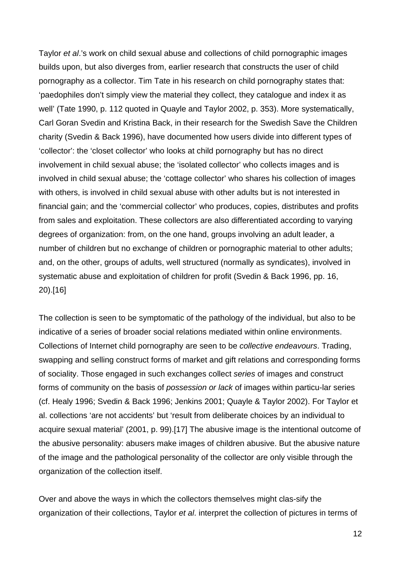Taylor *et al*.'s work on child sexual abuse and collections of child pornographic images builds upon, but also diverges from, earlier research that constructs the user of child pornography as a collector. Tim Tate in his research on child pornography states that: 'paedophiles don't simply view the material they collect, they catalogue and index it as well' (Tate 1990, p. 112 quoted in Quayle and Taylor 2002, p. 353). More systematically, Carl Goran Svedin and Kristina Back, in their research for the Swedish Save the Children charity (Svedin & Back 1996), have documented how users divide into different types of 'collector': the 'closet collector' who looks at child pornography but has no direct involvement in child sexual abuse; the 'isolated collector' who collects images and is involved in child sexual abuse; the 'cottage collector' who shares his collection of images with others, is involved in child sexual abuse with other adults but is not interested in financial gain; and the 'commercial collector' who produces, copies, distributes and profits from sales and exploitation. These collectors are also differentiated according to varying degrees of organization: from, on the one hand, groups involving an adult leader, a number of children but no exchange of children or pornographic material to other adults; and, on the other, groups of adults, well structured (normally as syndicates), involved in systematic abuse and exploitation of children for profit (Svedin & Back 1996, pp. 16, 20).[16]

The collection is seen to be symptomatic of the pathology of the individual, but also to be indicative of a series of broader social relations mediated within online environments. Collections of Internet child pornography are seen to be *collective endeavours*. Trading, swapping and selling construct forms of market and gift relations and corresponding forms of sociality. Those engaged in such exchanges collect *series* of images and construct forms of community on the basis of *possession or lack* of images within particu-lar series (cf. Healy 1996; Svedin & Back 1996; Jenkins 2001; Quayle & Taylor 2002). For Taylor et al. collections 'are not accidents' but 'result from deliberate choices by an individual to acquire sexual material' (2001, p. 99).[17] The abusive image is the intentional outcome of the abusive personality: abusers make images of children abusive. But the abusive nature of the image and the pathological personality of the collector are only visible through the organization of the collection itself.

Over and above the ways in which the collectors themselves might clas-sify the organization of their collections, Taylor *et al*. interpret the collection of pictures in terms of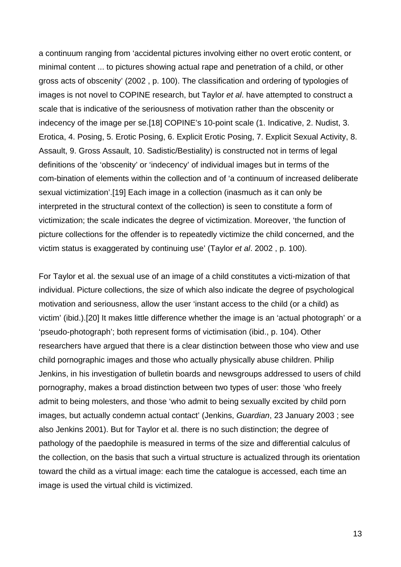a continuum ranging from 'accidental pictures involving either no overt erotic content, or minimal content ... to pictures showing actual rape and penetration of a child, or other gross acts of obscenity' (2002 , p. 100). The classification and ordering of typologies of images is not novel to COPINE research, but Taylor *et al*. have attempted to construct a scale that is indicative of the seriousness of motivation rather than the obscenity or indecency of the image per se.[18] COPINE's 10-point scale (1. Indicative, 2. Nudist, 3. Erotica, 4. Posing, 5. Erotic Posing, 6. Explicit Erotic Posing, 7. Explicit Sexual Activity, 8. Assault, 9. Gross Assault, 10. Sadistic/Bestiality) is constructed not in terms of legal definitions of the 'obscenity' or 'indecency' of individual images but in terms of the com-bination of elements within the collection and of 'a continuum of increased deliberate sexual victimization'.[19] Each image in a collection (inasmuch as it can only be interpreted in the structural context of the collection) is seen to constitute a form of victimization; the scale indicates the degree of victimization. Moreover, 'the function of picture collections for the offender is to repeatedly victimize the child concerned, and the victim status is exaggerated by continuing use' (Taylor *et al*. 2002 , p. 100).

For Taylor et al. the sexual use of an image of a child constitutes a victi-mization of that individual. Picture collections, the size of which also indicate the degree of psychological motivation and seriousness, allow the user 'instant access to the child (or a child) as victim' (ibid.).[20] It makes little difference whether the image is an 'actual photograph' or a 'pseudo-photograph'; both represent forms of victimisation (ibid., p. 104). Other researchers have argued that there is a clear distinction between those who view and use child pornographic images and those who actually physically abuse children. Philip Jenkins, in his investigation of bulletin boards and newsgroups addressed to users of child pornography, makes a broad distinction between two types of user: those 'who freely admit to being molesters, and those 'who admit to being sexually excited by child porn images, but actually condemn actual contact' (Jenkins, *Guardian*, 23 January 2003 ; see also Jenkins 2001). But for Taylor et al. there is no such distinction; the degree of pathology of the paedophile is measured in terms of the size and differential calculus of the collection, on the basis that such a virtual structure is actualized through its orientation toward the child as a virtual image: each time the catalogue is accessed, each time an image is used the virtual child is victimized.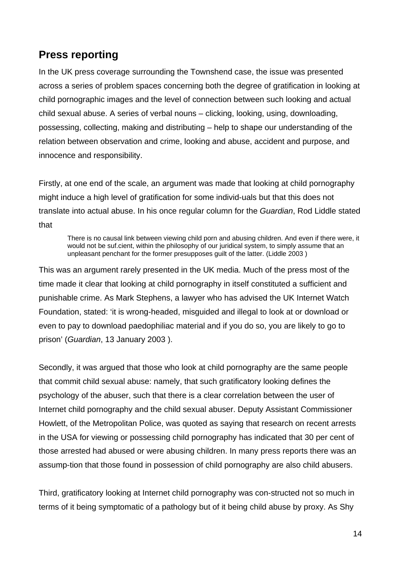### **Press reporting**

In the UK press coverage surrounding the Townshend case, the issue was presented across a series of problem spaces concerning both the degree of gratification in looking at child pornographic images and the level of connection between such looking and actual child sexual abuse. A series of verbal nouns – clicking, looking, using, downloading, possessing, collecting, making and distributing – help to shape our understanding of the relation between observation and crime, looking and abuse, accident and purpose, and innocence and responsibility.

Firstly, at one end of the scale, an argument was made that looking at child pornography might induce a high level of gratification for some individ-uals but that this does not translate into actual abuse. In his once regular column for the *Guardian*, Rod Liddle stated that

There is no causal link between viewing child porn and abusing children. And even if there were, it would not be suf.cient, within the philosophy of our juridical system, to simply assume that an unpleasant penchant for the former presupposes guilt of the latter. (Liddle 2003 )

This was an argument rarely presented in the UK media. Much of the press most of the time made it clear that looking at child pornography in itself constituted a sufficient and punishable crime. As Mark Stephens, a lawyer who has advised the UK Internet Watch Foundation, stated: 'it is wrong-headed, misguided and illegal to look at or download or even to pay to download paedophiliac material and if you do so, you are likely to go to prison' (*Guardian*, 13 January 2003 ).

Secondly, it was argued that those who look at child pornography are the same people that commit child sexual abuse: namely, that such gratificatory looking defines the psychology of the abuser, such that there is a clear correlation between the user of Internet child pornography and the child sexual abuser. Deputy Assistant Commissioner Howlett, of the Metropolitan Police, was quoted as saying that research on recent arrests in the USA for viewing or possessing child pornography has indicated that 30 per cent of those arrested had abused or were abusing children. In many press reports there was an assump-tion that those found in possession of child pornography are also child abusers.

Third, gratificatory looking at Internet child pornography was con-structed not so much in terms of it being symptomatic of a pathology but of it being child abuse by proxy. As Shy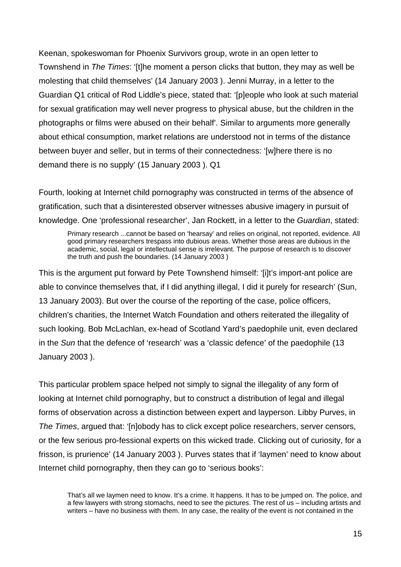Keenan, spokeswoman for Phoenix Survivors group, wrote in an open letter to Townshend in *The Times*: '[t]he moment a person clicks that button, they may as well be molesting that child themselves' (14 January 2003 ). Jenni Murray, in a letter to the Guardian Q1 critical of Rod Liddle's piece, stated that: '[p]eople who look at such material for sexual gratification may well never progress to physical abuse, but the children in the photographs or films were abused on their behalf'. Similar to arguments more generally about ethical consumption, market relations are understood not in terms of the distance between buyer and seller, but in terms of their connectedness: '[w]here there is no demand there is no supply' (15 January 2003 ). Q1

Fourth, looking at Internet child pornography was constructed in terms of the absence of gratification, such that a disinterested observer witnesses abusive imagery in pursuit of knowledge. One 'professional researcher', Jan Rockett, in a letter to the *Guardian*, stated:

Primary research ...cannot be based on 'hearsay' and relies on original, not reported, evidence. All good primary researchers trespass into dubious areas. Whether those areas are dubious in the academic, social, legal or intellectual sense is irrelevant. The purpose of research is to discover the truth and push the boundaries. (14 January 2003 )

This is the argument put forward by Pete Townshend himself: '[i]t's import-ant police are able to convince themselves that, if I did anything illegal, I did it purely for research' (Sun, 13 January 2003). But over the course of the reporting of the case, police officers, children's charities, the Internet Watch Foundation and others reiterated the illegality of such looking. Bob McLachlan, ex-head of Scotland Yard's paedophile unit, even declared in the *Sun* that the defence of 'research' was a 'classic defence' of the paedophile (13 January 2003 ).

This particular problem space helped not simply to signal the illegality of any form of looking at Internet child pornography, but to construct a distribution of legal and illegal forms of observation across a distinction between expert and layperson. Libby Purves, in *The Times*, argued that: '[n]obody has to click except police researchers, server censors, or the few serious pro-fessional experts on this wicked trade. Clicking out of curiosity, for a frisson, is prurience' (14 January 2003 ). Purves states that if 'laymen' need to know about Internet child pornography, then they can go to 'serious books':

That's all we laymen need to know. It's a crime. It happens. It has to be jumped on. The police, and a few lawyers with strong stomachs, need to see the pictures. The rest of us – including artists and writers – have no business with them. In any case, the reality of the event is not contained in the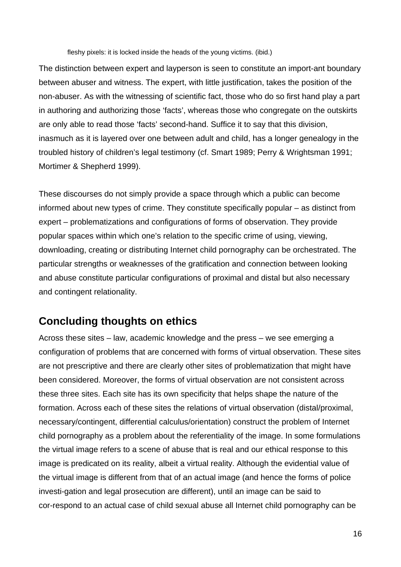fleshy pixels: it is locked inside the heads of the young victims. (ibid.)

The distinction between expert and layperson is seen to constitute an import-ant boundary between abuser and witness. The expert, with little justification, takes the position of the non-abuser. As with the witnessing of scientific fact, those who do so first hand play a part in authoring and authorizing those 'facts', whereas those who congregate on the outskirts are only able to read those 'facts' second-hand. Suffice it to say that this division, inasmuch as it is layered over one between adult and child, has a longer genealogy in the troubled history of children's legal testimony (cf. Smart 1989; Perry & Wrightsman 1991; Mortimer & Shepherd 1999).

These discourses do not simply provide a space through which a public can become informed about new types of crime. They constitute specifically popular – as distinct from expert – problematizations and configurations of forms of observation. They provide popular spaces within which one's relation to the specific crime of using, viewing, downloading, creating or distributing Internet child pornography can be orchestrated. The particular strengths or weaknesses of the gratification and connection between looking and abuse constitute particular configurations of proximal and distal but also necessary and contingent relationality.

### **Concluding thoughts on ethics**

Across these sites – law, academic knowledge and the press – we see emerging a configuration of problems that are concerned with forms of virtual observation. These sites are not prescriptive and there are clearly other sites of problematization that might have been considered. Moreover, the forms of virtual observation are not consistent across these three sites. Each site has its own specificity that helps shape the nature of the formation. Across each of these sites the relations of virtual observation (distal/proximal, necessary/contingent, differential calculus/orientation) construct the problem of Internet child pornography as a problem about the referentiality of the image. In some formulations the virtual image refers to a scene of abuse that is real and our ethical response to this image is predicated on its reality, albeit a virtual reality. Although the evidential value of the virtual image is different from that of an actual image (and hence the forms of police investi-gation and legal prosecution are different), until an image can be said to cor-respond to an actual case of child sexual abuse all Internet child pornography can be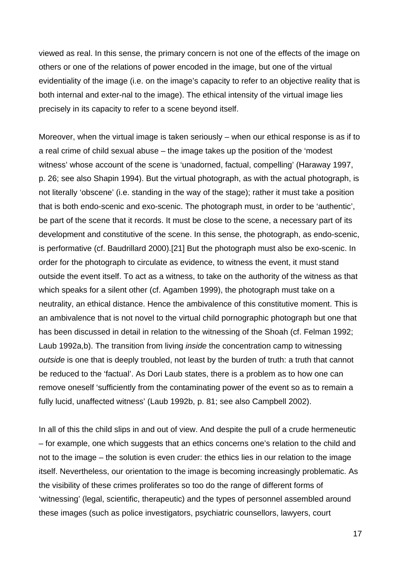viewed as real. In this sense, the primary concern is not one of the effects of the image on others or one of the relations of power encoded in the image, but one of the virtual evidentiality of the image (i.e. on the image's capacity to refer to an objective reality that is both internal and exter-nal to the image). The ethical intensity of the virtual image lies precisely in its capacity to refer to a scene beyond itself.

Moreover, when the virtual image is taken seriously – when our ethical response is as if to a real crime of child sexual abuse – the image takes up the position of the 'modest witness' whose account of the scene is 'unadorned, factual, compelling' (Haraway 1997, p. 26; see also Shapin 1994). But the virtual photograph, as with the actual photograph, is not literally 'obscene' (i.e. standing in the way of the stage); rather it must take a position that is both endo-scenic and exo-scenic. The photograph must, in order to be 'authentic', be part of the scene that it records. It must be close to the scene, a necessary part of its development and constitutive of the scene. In this sense, the photograph, as endo-scenic, is performative (cf. Baudrillard 2000).[21] But the photograph must also be exo-scenic. In order for the photograph to circulate as evidence, to witness the event, it must stand outside the event itself. To act as a witness, to take on the authority of the witness as that which speaks for a silent other (cf. Agamben 1999), the photograph must take on a neutrality, an ethical distance. Hence the ambivalence of this constitutive moment. This is an ambivalence that is not novel to the virtual child pornographic photograph but one that has been discussed in detail in relation to the witnessing of the Shoah (cf. Felman 1992; Laub 1992a,b). The transition from living *inside* the concentration camp to witnessing *outside* is one that is deeply troubled, not least by the burden of truth: a truth that cannot be reduced to the 'factual'. As Dori Laub states, there is a problem as to how one can remove oneself 'sufficiently from the contaminating power of the event so as to remain a fully lucid, unaffected witness' (Laub 1992b, p. 81; see also Campbell 2002).

In all of this the child slips in and out of view. And despite the pull of a crude hermeneutic – for example, one which suggests that an ethics concerns one's relation to the child and not to the image – the solution is even cruder: the ethics lies in our relation to the image itself. Nevertheless, our orientation to the image is becoming increasingly problematic. As the visibility of these crimes proliferates so too do the range of different forms of 'witnessing' (legal, scientific, therapeutic) and the types of personnel assembled around these images (such as police investigators, psychiatric counsellors, lawyers, court

17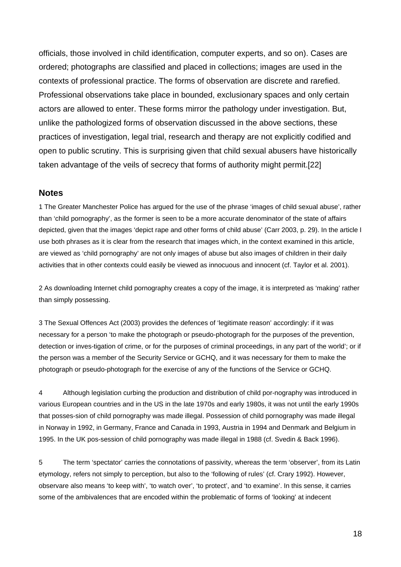officials, those involved in child identification, computer experts, and so on). Cases are ordered; photographs are classified and placed in collections; images are used in the contexts of professional practice. The forms of observation are discrete and rarefied. Professional observations take place in bounded, exclusionary spaces and only certain actors are allowed to enter. These forms mirror the pathology under investigation. But, unlike the pathologized forms of observation discussed in the above sections, these practices of investigation, legal trial, research and therapy are not explicitly codified and open to public scrutiny. This is surprising given that child sexual abusers have historically taken advantage of the veils of secrecy that forms of authority might permit.[22]

#### **Notes**

1 The Greater Manchester Police has argued for the use of the phrase 'images of child sexual abuse', rather than 'child pornography', as the former is seen to be a more accurate denominator of the state of affairs depicted, given that the images 'depict rape and other forms of child abuse' (Carr 2003, p. 29). In the article I use both phrases as it is clear from the research that images which, in the context examined in this article, are viewed as 'child pornography' are not only images of abuse but also images of children in their daily activities that in other contexts could easily be viewed as innocuous and innocent (cf. Taylor et al. 2001).

2 As downloading Internet child pornography creates a copy of the image, it is interpreted as 'making' rather than simply possessing.

3 The Sexual Offences Act (2003) provides the defences of 'legitimate reason' accordingly: if it was necessary for a person 'to make the photograph or pseudo-photograph for the purposes of the prevention, detection or inves-tigation of crime, or for the purposes of criminal proceedings, in any part of the world'; or if the person was a member of the Security Service or GCHQ, and it was necessary for them to make the photograph or pseudo-photograph for the exercise of any of the functions of the Service or GCHQ.

4 Although legislation curbing the production and distribution of child por-nography was introduced in various European countries and in the US in the late 1970s and early 1980s, it was not until the early 1990s that posses-sion of child pornography was made illegal. Possession of child pornography was made illegal in Norway in 1992, in Germany, France and Canada in 1993, Austria in 1994 and Denmark and Belgium in 1995. In the UK pos-session of child pornography was made illegal in 1988 (cf. Svedin & Back 1996).

5 The term 'spectator' carries the connotations of passivity, whereas the term 'observer', from its Latin etymology, refers not simply to perception, but also to the 'following of rules' (cf. Crary 1992). However, observare also means 'to keep with', 'to watch over', 'to protect', and 'to examine'. In this sense, it carries some of the ambivalences that are encoded within the problematic of forms of 'looking' at indecent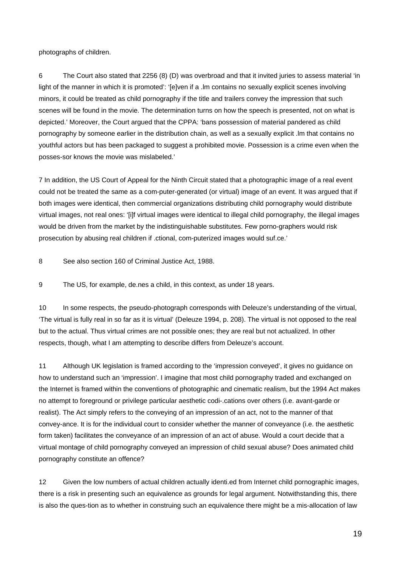photographs of children.

6 The Court also stated that 2256 (8) (D) was overbroad and that it invited juries to assess material 'in light of the manner in which it is promoted': '[e]ven if a .lm contains no sexually explicit scenes involving minors, it could be treated as child pornography if the title and trailers convey the impression that such scenes will be found in the movie. The determination turns on how the speech is presented, not on what is depicted.' Moreover, the Court argued that the CPPA: 'bans possession of material pandered as child pornography by someone earlier in the distribution chain, as well as a sexually explicit .lm that contains no youthful actors but has been packaged to suggest a prohibited movie. Possession is a crime even when the posses-sor knows the movie was mislabeled.'

7 In addition, the US Court of Appeal for the Ninth Circuit stated that a photographic image of a real event could not be treated the same as a com-puter-generated (or virtual) image of an event. It was argued that if both images were identical, then commercial organizations distributing child pornography would distribute virtual images, not real ones: '[i]f virtual images were identical to illegal child pornography, the illegal images would be driven from the market by the indistinguishable substitutes. Few porno-graphers would risk prosecution by abusing real children if .ctional, com-puterized images would suf.ce.'

8 See also section 160 of Criminal Justice Act, 1988.

9 The US, for example, de.nes a child, in this context, as under 18 years.

10 In some respects, the pseudo-photograph corresponds with Deleuze's understanding of the virtual, 'The virtual is fully real in so far as it is virtual' (Deleuze 1994, p. 208). The virtual is not opposed to the real but to the actual. Thus virtual crimes are not possible ones; they are real but not actualized. In other respects, though, what I am attempting to describe differs from Deleuze's account.

11 Although UK legislation is framed according to the 'impression conveyed', it gives no guidance on how to understand such an 'impression'. I imagine that most child pornography traded and exchanged on the Internet is framed within the conventions of photographic and cinematic realism, but the 1994 Act makes no attempt to foreground or privilege particular aesthetic codi-.cations over others (i.e. avant-garde or realist). The Act simply refers to the conveying of an impression of an act, not to the manner of that convey-ance. It is for the individual court to consider whether the manner of conveyance (i.e. the aesthetic form taken) facilitates the conveyance of an impression of an act of abuse. Would a court decide that a virtual montage of child pornography conveyed an impression of child sexual abuse? Does animated child pornography constitute an offence?

12 Given the low numbers of actual children actually identi.ed from Internet child pornographic images, there is a risk in presenting such an equivalence as grounds for legal argument. Notwithstanding this, there is also the ques-tion as to whether in construing such an equivalence there might be a mis-allocation of law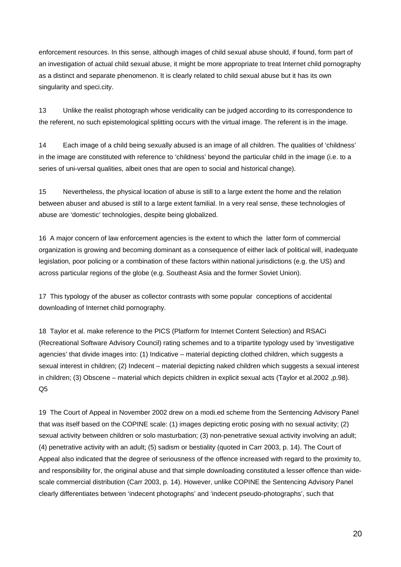enforcement resources. In this sense, although images of child sexual abuse should, if found, form part of an investigation of actual child sexual abuse, it might be more appropriate to treat Internet child pornography as a distinct and separate phenomenon. It is clearly related to child sexual abuse but it has its own singularity and speci.city.

13 Unlike the realist photograph whose veridicality can be judged according to its correspondence to the referent, no such epistemological splitting occurs with the virtual image. The referent is in the image.

14 Each image of a child being sexually abused is an image of all children. The qualities of 'childness' in the image are constituted with reference to 'childness' beyond the particular child in the image (i.e. to a series of uni-versal qualities, albeit ones that are open to social and historical change).

15 Nevertheless, the physical location of abuse is still to a large extent the home and the relation between abuser and abused is still to a large extent familial. In a very real sense, these technologies of abuse are 'domestic' technologies, despite being globalized.

16 A major concern of law enforcement agencies is the extent to which the latter form of commercial organization is growing and becoming dominant as a consequence of either lack of political will, inadequate legislation, poor policing or a combination of these factors within national jurisdictions (e.g. the US) and across particular regions of the globe (e.g. Southeast Asia and the former Soviet Union).

17 This typology of the abuser as collector contrasts with some popular conceptions of accidental downloading of Internet child pornography.

18 Taylor et al. make reference to the PICS (Platform for Internet Content Selection) and RSACi (Recreational Software Advisory Council) rating schemes and to a tripartite typology used by 'investigative agencies' that divide images into: (1) Indicative – material depicting clothed children, which suggests a sexual interest in children; (2) Indecent – material depicting naked children which suggests a sexual interest in children; (3) Obscene – material which depicts children in explicit sexual acts (Taylor et al.2002 ,p.98). Q5

19 The Court of Appeal in November 2002 drew on a modi.ed scheme from the Sentencing Advisory Panel that was itself based on the COPINE scale: (1) images depicting erotic posing with no sexual activity; (2) sexual activity between children or solo masturbation; (3) non-penetrative sexual activity involving an adult; (4) penetrative activity with an adult; (5) sadism or bestiality (quoted in Carr 2003, p. 14). The Court of Appeal also indicated that the degree of seriousness of the offence increased with regard to the proximity to, and responsibility for, the original abuse and that simple downloading constituted a lesser offence than widescale commercial distribution (Carr 2003, p. 14). However, unlike COPINE the Sentencing Advisory Panel clearly differentiates between 'indecent photographs' and 'indecent pseudo-photographs', such that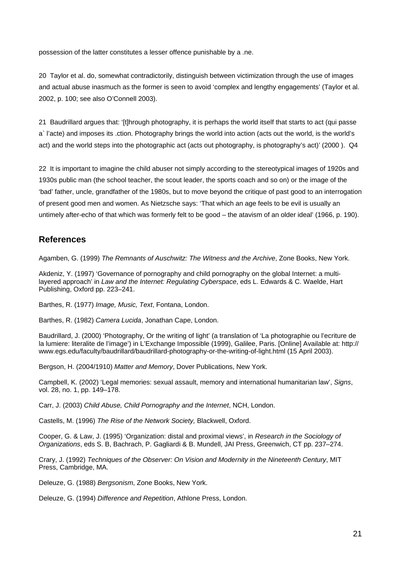possession of the latter constitutes a lesser offence punishable by a .ne.

20 Taylor et al. do, somewhat contradictorily, distinguish between victimization through the use of images and actual abuse inasmuch as the former is seen to avoid 'complex and lengthy engagements' (Taylor et al. 2002, p. 100; see also O'Connell 2003).

21 Baudrillard argues that: '[t]hrough photography, it is perhaps the world itself that starts to act (qui passe a` l'acte) and imposes its .ction. Photography brings the world into action (acts out the world, is the world's act) and the world steps into the photographic act (acts out photography, is photography's act)' (2000). Q4

22 It is important to imagine the child abuser not simply according to the stereotypical images of 1920s and 1930s public man (the school teacher, the scout leader, the sports coach and so on) or the image of the 'bad' father, uncle, grandfather of the 1980s, but to move beyond the critique of past good to an interrogation of present good men and women. As Nietzsche says: 'That which an age feels to be evil is usually an untimely after-echo of that which was formerly felt to be good – the atavism of an older ideal' (1966, p. 190).

### **References**

Agamben, G. (1999) *The Remnants of Auschwitz: The Witness and the Archive*, Zone Books, New York.

Akdeniz, Y. (1997) 'Governance of pornography and child pornography on the global Internet: a multilayered approach' in *Law and the Internet: Regulating Cyberspace*, eds L. Edwards & C. Waelde, Hart Publishing, Oxford pp. 223–241.

Barthes, R. (1977) *Image, Music, Text*, Fontana, London.

Barthes, R. (1982) *Camera Lucida*, Jonathan Cape, London.

Baudrillard, J. (2000) 'Photography, Or the writing of light' (a translation of 'La photographie ou l'ecriture de la lumiere: literalite de l'image') in L'Exchange Impossible (1999), Galilee, Paris. [Online] Available at: http:// www.egs.edu/faculty/baudrillard/baudrillard-photography-or-the-writing-of-light.html (15 April 2003).

Bergson, H. (2004/1910) *Matter and Memory*, Dover Publications, New York.

Campbell, K. (2002) 'Legal memories: sexual assault, memory and international humanitarian law', *Signs*, vol. 28, no. 1, pp. 149–178.

Carr, J. (2003) *Child Abuse, Child Pornography and the Internet*, NCH, London.

Castells, M. (1996) *The Rise of the Network Society,* Blackwell, Oxford.

Cooper, G. & Law, J. (1995) 'Organization: distal and proximal views', in *Research in the Sociology of Organizations*, eds S. B, Bachrach, P. Gagliardi & B. Mundell, JAI Press, Greenwich, CT pp. 237–274.

Crary, J. (1992) *Techniques of the Observer: On Vision and Modernity in the Nineteenth Century*, MIT Press, Cambridge, MA.

Deleuze, G. (1988) *Bergsonism*, Zone Books, New York.

Deleuze, G. (1994) *Difference and Repetition*, Athlone Press, London.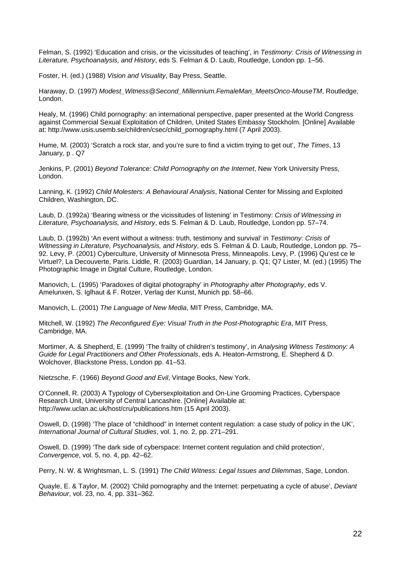Felman, S. (1992) 'Education and crisis, or the vicissitudes of teaching', in *Testimony: Crisis of Witnessing in Literature, Psychoanalysis, and History*, eds S. Felman & D. Laub, Routledge, London pp. 1–56.

Foster, H. (ed.) (1988) *Vision and Visuality*, Bay Press, Seattle.

Haraway, D. (1997) *Modest\_Witness@Second\_Millennium.FemaleMan\_MeetsOnco-MouseTM*, Routledge, London.

Healy, M. (1996) Child pornography: an international perspective, paper presented at the World Congress against Commercial Sexual Exploitation of Children, United States Embassy Stockholm. [Online] Available at: http://www.usis.usemb.se/children/csec/child\_pornography.html (7 April 2003).

Hume, M. (2003) 'Scratch a rock star, and you're sure to find a victim trying to get out', *The Times*, 13 January, p . Q7

Jenkins, P. (2001) *Beyond Tolerance: Child Pornography on the Internet*, New York University Press, London.

Lanning, K. (1992) *Child Molesters: A Behavioural Analysis*, National Center for Missing and Exploited Children, Washington, DC.

Laub, D. (1992a) 'Bearing witness or the vicissitudes of listening' in Testimony: *Crisis of Witnessing in Literature, Psychoanalysis, and History*, eds S. Felman & D. Laub, Routledge, London pp. 57–74.

Laub, D. (1992b) 'An event without a witness: truth, testimony and survival' in *Testimony: Crisis of Witnessing in Literature, Psychoanalysis, and History*, eds S. Felman & D. Laub, Routledge, London pp. 75– 92. Levy, P. (2001) Cyberculture, University of Minnesota Press, Minneapolis. Levy, P. (1996) Qu'est ce le Virtuel?, La Decouverte, Paris. Liddle, R. (2003) Guardian, 14 January, p. Q1; Q7 Lister, M. (ed.) (1995) The Photographic Image in Digital Culture, Routledge, London.

Manovich, L. (1995) 'Paradoxes of digital photography' in *Photography after Photography*, eds V. Amelunxen, S. Iglhaut & F. Rotzer, Verlag der Kunst, Munich pp. 58–66.

Manovich, L. (2001) *The Language of New Media*, MIT Press, Cambridge, MA.

Mitchell, W. (1992) *The Reconfigured Eye: Visual Truth in the Post-Photographic Era*, MIT Press, Cambridge, MA.

Mortimer, A. & Shepherd, E. (1999) 'The frailty of children's testimony', in *Analysing Witness Testimony: A Guide for Legal Practitioners and Other Professionals*, eds A. Heaton-Armstrong, E. Shepherd & D. Wolchover, Blackstone Press, London pp. 41–53.

Nietzsche, F. (1966) *Beyond Good and Evil*, Vintage Books, New York.

O'Connell, R. (2003) A Typology of Cybersexploitation and On-Line Grooming Practices, Cyberspace Research Unit, University of Central Lancashire. [Online] Available at: http://www.uclan.ac.uk/host/cru/publications.htm (15 April 2003).

Oswell, D. (1998) 'The place of "childhood" in Internet content regulation: a case study of policy in the UK', *International Journal of Cultural Studies*, vol. 1, no. 2, pp. 271–291.

Oswell, D. (1999) 'The dark side of cyberspace: Internet content regulation and child protection', *Convergence*, vol. 5, no. 4, pp. 42–62.

Perry, N. W. & Wrightsman, L. S. (1991) *The Child Witness: Legal Issues and Dilemmas*, Sage, London.

Quayle, E. & Taylor, M. (2002) 'Child pornography and the Internet: perpetuating a cycle of abuse', *Deviant Behaviour*, vol. 23, no. 4, pp. 331–362.